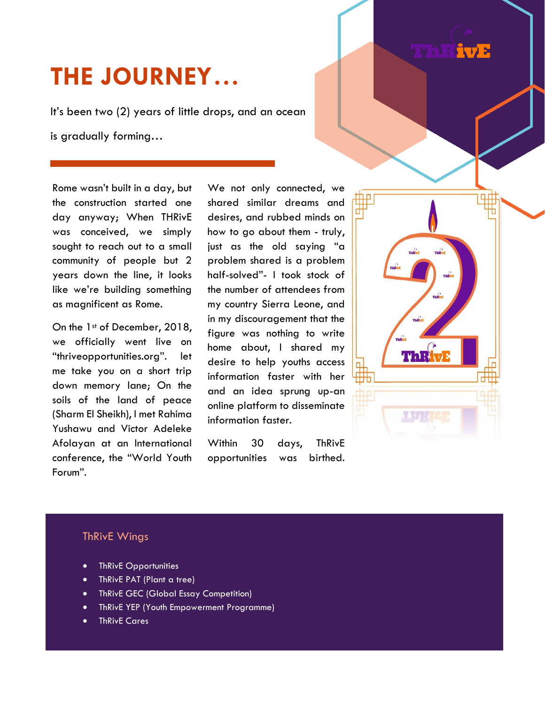# **THE JOURNEY…**

It's been two (2) years of little drops, and an ocean is gradually forming…

Rome wasn't built in a day, but the construction started one day anyway; When THRivE was conceived, we simply sought to reach out to a small community of people but 2 years down the line, it looks like we're building something as magnificent as Rome.

On the 1<sup>st</sup> of December, 2018, we officially went live on "thriveopportunities.org". let me take you on a short trip down memory lane; On the soils of the land of peace (Sharm El Sheikh), I met Rahima Yushawu and Victor Adeleke Afolayan at an International conference, the "World Youth Forum".

We not only connected, we shared similar dreams and desires, and rubbed minds on how to go about them - truly, just as the old saying "a problem shared is a problem half-solved"- I took stock of the number of attendees from my country Sierra Leone, and in my discouragement that the figure was nothing to write home about, I shared my desire to help youths access information faster with her and an idea sprung up-an online platform to disseminate information faster.

Within 30 days, ThRivE opportunities was birthed.



 $\sqrt{17}$ 

# ThRivE Wings

- ThRivE Opportunities
- ThRivE PAT (Plant a tree)
- **•** ThRivE GEC (Global Essay Competition)
- ThRivE YEP (Youth Empowerment Programme)
- ThRivE Cares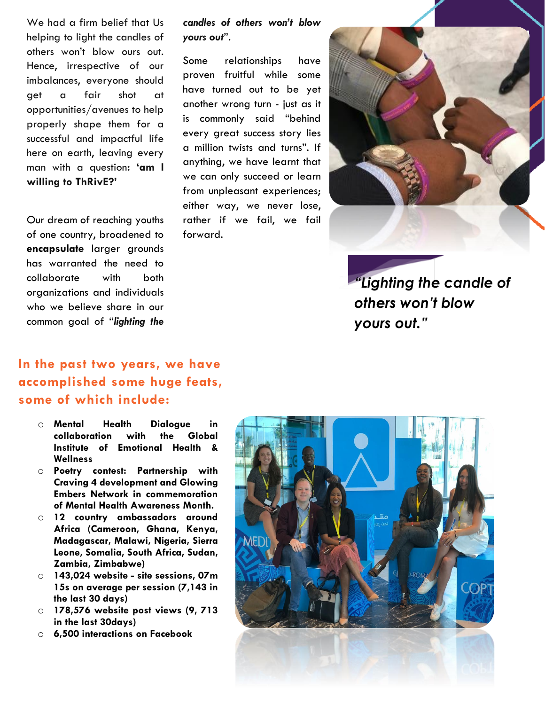We had a firm belief that Us helping to light the candles of others won't blow ours out. Hence, irrespective of our imbalances, everyone should get a fair shot at opportunities/avenues to help properly shape them for a successful and impactful life here on earth, leaving every man with a question**: 'am I willing to ThRivE?'**

Our dream of reaching youths of one country, broadened to **encapsulate** larger grounds has warranted the need to collaborate with both organizations and individuals who we believe share in our common goal of "*lighting the* 

## *candles of others won't blow yours out*".

Some relationships have proven fruitful while some have turned out to be yet another wrong turn - just as it is commonly said "behind every great success story lies a million twists and turns". If anything, we have learnt that we can only succeed or learn from unpleasant experiences; either way, we never lose, rather if we fail, we fail forward.



*"Lighting the candle of others won't blow yours out."*

# **In the past two years, we have accomplished some huge feats, some of which include:**

- o **Mental Health Dialogue in collaboration with the Global Institute of Emotional Health & Wellness**
- o **Poetry contest: Partnership with Craving 4 development and Glowing Embers Network in commemoration of Mental Health Awareness Month.**
- o **12 country ambassadors around Africa (Cameroon, Ghana, Kenya, Madagascar, Malawi, Nigeria, Sierra Leone, Somalia, South Africa, Sudan, Zambia, Zimbabwe)**
- o **143,024 website - site sessions, 07m 15s on average per session (7,143 in the last 30 days)**
- o **178,576 website post views (9, 713 in the last 30days)**
- o **6,500 interactions on Facebook**

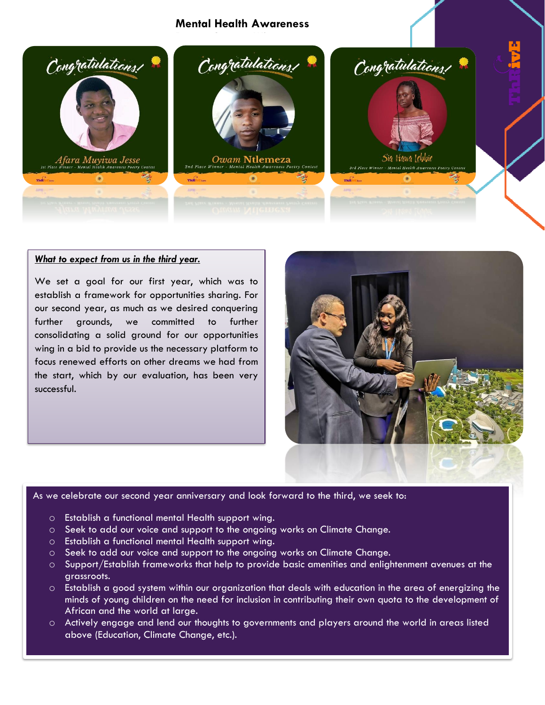## **Mental Health Awareness**



### *What to expect from us in the third year.*

We set a goal for our first year, which was to establish a framework for opportunities sharing. For our second year, as much as we desired conquering further grounds, we committed to further consolidating a solid ground for our opportunities wing in a bid to provide us the necessary platform to focus renewed efforts on other dreams we had from the start, which by our evaluation, has been very successful.



#### As we celebrate our second year anniversary and look forward to the third, we seek to:

- o Establish a functional mental Health support wing.
- o Seek to add our voice and support to the ongoing works on Climate Change.
- o Establish a functional mental Health support wing.
- o Seek to add our voice and support to the ongoing works on Climate Change.
- o Support/Establish frameworks that help to provide basic amenities and enlightenment avenues at the grassroots.
- o Establish a good system within our organization that deals with education in the area of energizing the minds of young children on the need for inclusion in contributing their own quota to the development of African and the world at large.
- o Actively engage and lend our thoughts to governments and players around the world in areas listed above (Education, Climate Change, etc.).